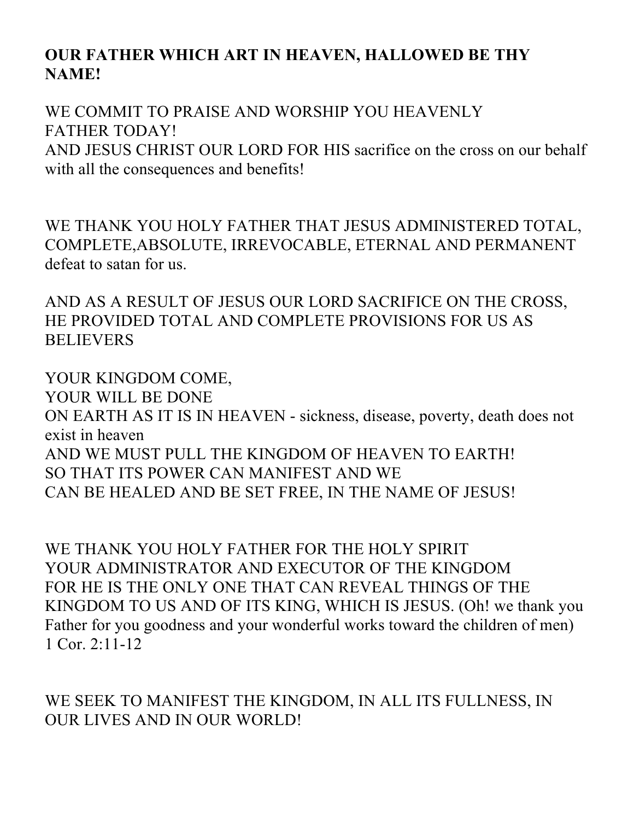## **OUR FATHER WHICH ART IN HEAVEN, HALLOWED BE THY NAME!**

WE COMMIT TO PRAISE AND WORSHIP YOU HEAVENLY FATHER TODAY! AND JESUS CHRIST OUR LORD FOR HIS sacrifice on the cross on our behalf with all the consequences and benefits!

WE THANK YOU HOLY FATHER THAT JESUS ADMINISTERED TOTAL, COMPLETE,ABSOLUTE, IRREVOCABLE, ETERNAL AND PERMANENT defeat to satan for us.

AND AS A RESULT OF JESUS OUR LORD SACRIFICE ON THE CROSS, HE PROVIDED TOTAL AND COMPLETE PROVISIONS FOR US AS **BELIEVERS** 

YOUR KINGDOM COME, YOUR WILL BE DONE ON EARTH AS IT IS IN HEAVEN - sickness, disease, poverty, death does not exist in heaven AND WE MUST PULL THE KINGDOM OF HEAVEN TO EARTH! SO THAT ITS POWER CAN MANIFEST AND WE CAN BE HEALED AND BE SET FREE, IN THE NAME OF JESUS!

WE THANK YOU HOLY FATHER FOR THE HOLY SPIRIT YOUR ADMINISTRATOR AND EXECUTOR OF THE KINGDOM FOR HE IS THE ONLY ONE THAT CAN REVEAL THINGS OF THE KINGDOM TO US AND OF ITS KING, WHICH IS JESUS. (Oh! we thank you Father for you goodness and your wonderful works toward the children of men) 1 Cor. 2:11-12

WE SEEK TO MANIFEST THE KINGDOM, IN ALL ITS FULLNESS, IN OUR LIVES AND IN OUR WORLD!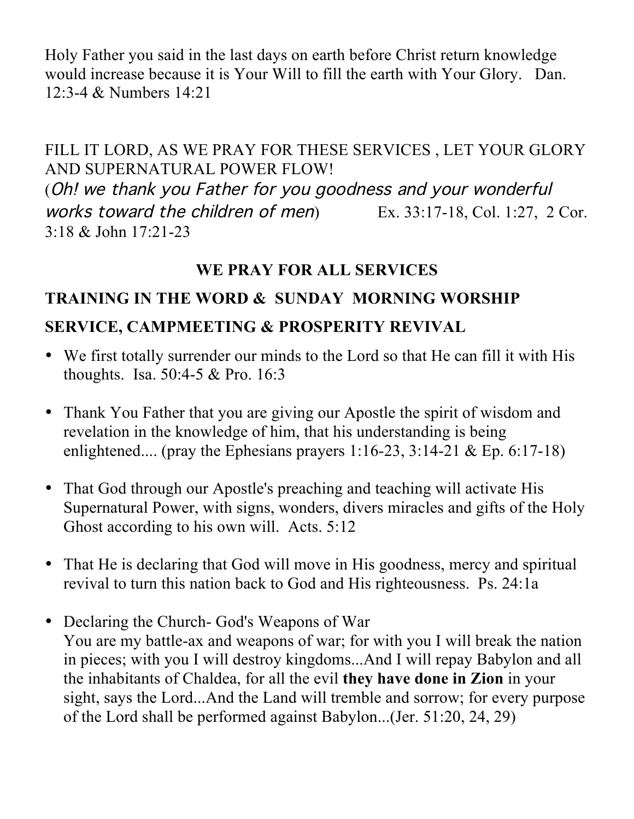Holy Father you said in the last days on earth before Christ return knowledge would increase because it is Your Will to fill the earth with Your Glory. Dan. 12:3-4 & Numbers 14:21

FILL IT LORD, AS WE PRAY FOR THESE SERVICES , LET YOUR GLORY AND SUPERNATURAL POWER FLOW! (Oh! we thank you Father for you goodness and your wonderful works toward the children of men) Ex. 33:17-18, Col. 1:27, 2 Cor. 3:18 & John 17:21-23

## **WE PRAY FOR ALL SERVICES**

## **TRAINING IN THE WORD & SUNDAY MORNING WORSHIP**

## **SERVICE, CAMPMEETING & PROSPERITY REVIVAL**

- We first totally surrender our minds to the Lord so that He can fill it with His thoughts. Isa. 50:4-5 & Pro. 16:3
- Thank You Father that you are giving our Apostle the spirit of wisdom and revelation in the knowledge of him, that his understanding is being enlightened.... (pray the Ephesians prayers 1:16-23, 3:14-21 & Ep. 6:17-18)
- That God through our Apostle's preaching and teaching will activate His Supernatural Power, with signs, wonders, divers miracles and gifts of the Holy Ghost according to his own will. Acts. 5:12
- That He is declaring that God will move in His goodness, mercy and spiritual revival to turn this nation back to God and His righteousness. Ps. 24:1a
- Declaring the Church- God's Weapons of War You are my battle-ax and weapons of war; for with you I will break the nation in pieces; with you I will destroy kingdoms...And I will repay Babylon and all the inhabitants of Chaldea, for all the evil **they have done in Zion** in your sight, says the Lord...And the Land will tremble and sorrow; for every purpose of the Lord shall be performed against Babylon...(Jer. 51:20, 24, 29)